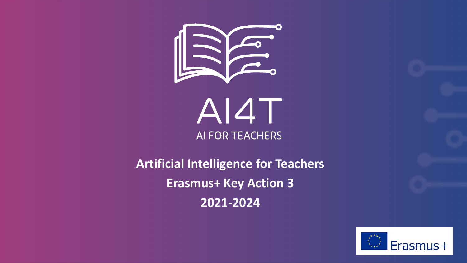

AI4T AI FOR TEACHERS

**Artificial Intelligence for Teachers Erasmus+ Key Action 3 2021-2024**

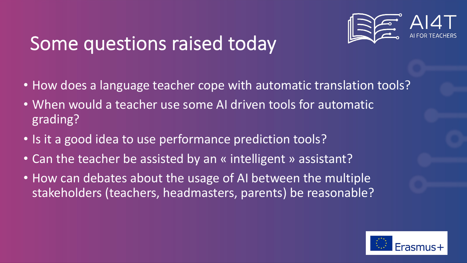

#### Some questions raised today

- How does a language teacher cope with automatic translation tools?
- When would a teacher use some AI driven tools for automatic grading?
- Is it a good idea to use performance prediction tools?
- Can the teacher be assisted by an « intelligent » assistant?
- How can debates about the usage of AI between the multiple stakeholders (teachers, headmasters, parents) be reasonable?

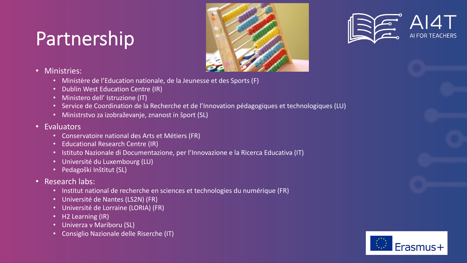### Partnership





- Ministries:
	- Ministère de l'Education nationale, de la Jeunesse et des Sports (F)
	- Dublin West Education Centre (IR)
	- Ministero dell' Istruzione (IT)
	- Service de Coordination de la Recherche et de l'Innovation pédagogiques et technologiques (LU)
	- Ministrstvo za izobraževanje, znanost in šport (SL)
- Evaluators
	- Conservatoire national des Arts et Métiers (FR)
	- Educational Research Centre (IR)
	- Istituto Nazionale di Documentazione, per l'Innovazione e la Ricerca Educativa (IT)
	- Université du Luxembourg (LU)
	- Pedagoški Inštitut (SL)
- Research labs:
	- Institut national de recherche en sciences et technologies du numérique (FR)
	- Université de Nantes (LS2N) (FR)
	- Université de Lorraine (LORIA) (FR)
	- H2 Learning (IR)
	- Univerza v Mariboru (SL)
	- Consiglio Nazionale delle Riserche (IT)

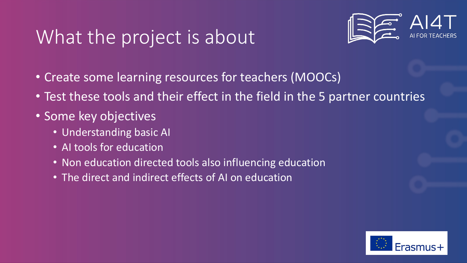### What the project is about



- Create some learning resources for teachers (MOOCs)
- Test these tools and their effect in the field in the 5 partner countries
- Some key objectives
	- Understanding basic AI
	- AI tools for education
	- Non education directed tools also influencing education
	- The direct and indirect effects of AI on education

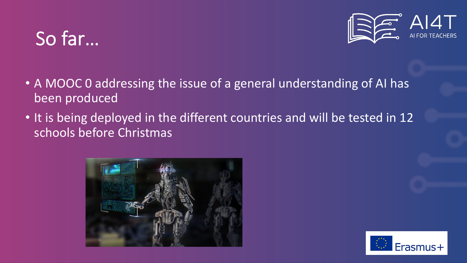## So far…



- A MOOC 0 addressing the issue of a general understanding of AI has been produced
- It is being deployed in the different countries and will be tested in 12 schools before Christmas